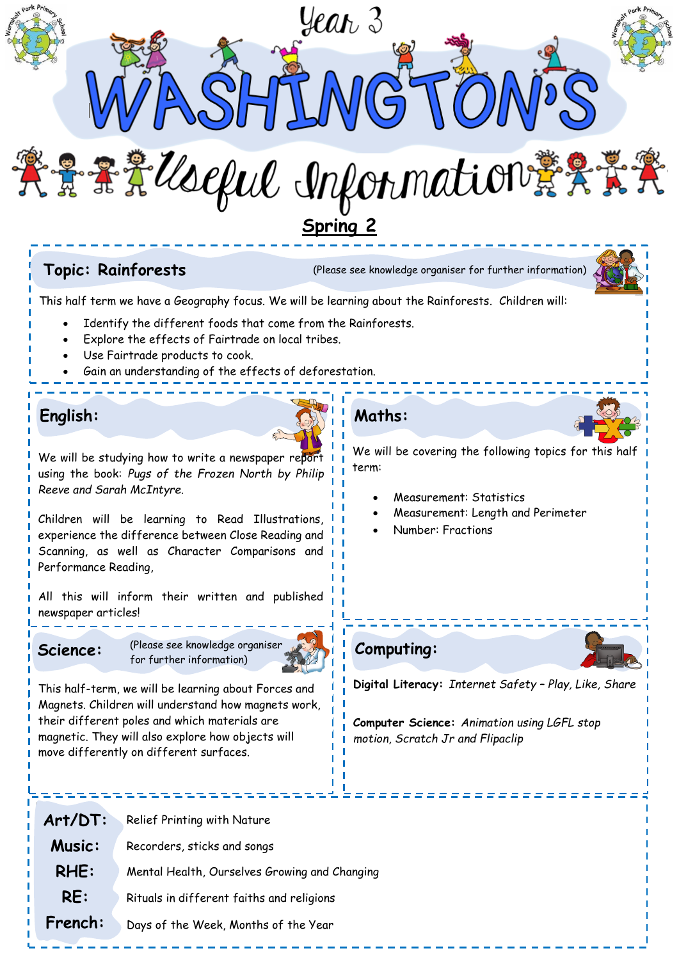

**Topic: Rainforests** (Please see knowledge organiser for further information)



This half term we have a Geography focus. We will be learning about the Rainforests. Children will:

- Identify the different foods that come from the Rainforests.
- Explore the effects of Fairtrade on local tribes.
- Use Fairtrade products to cook.
- Gain an understanding of the effects of deforestation.

### **English:**

We will be studying how to write a newspaper report using the book: *Pugs of the Frozen North by Philip Reeve and Sarah McIntyre.*

Children will be learning to Read Illustrations, experience the difference between Close Reading and Scanning, as well as Character Comparisons and Performance Reading,

All this will inform their written and published newspaper articles!



**Science:** (Please see knowledge organiser for further information)



This half-term, we will be learning about Forces and Magnets. Children will understand how magnets work, their different poles and which materials are magnetic. They will also explore how objects will move differently on different surfaces.

# **Maths:**

We will be covering the following topics for this half term:

- Measurement: Statistics
- Measurement: Length and Perimeter
- Number: Fractions





**Digital Literacy:** *Internet Safety – Play, Like, Share* 

. . . . . . . . . . . .

**Computer Science:** *Animation using LGFL stop motion, Scratch Jr and Flipaclip*

**Art/DT: Music: RHE: RE: French:** Relief Printing with Nature Recorders, sticks and songs Mental Health, Ourselves Growing and Changing Rituals in different faiths and religions Days of the Week, Months of the Year